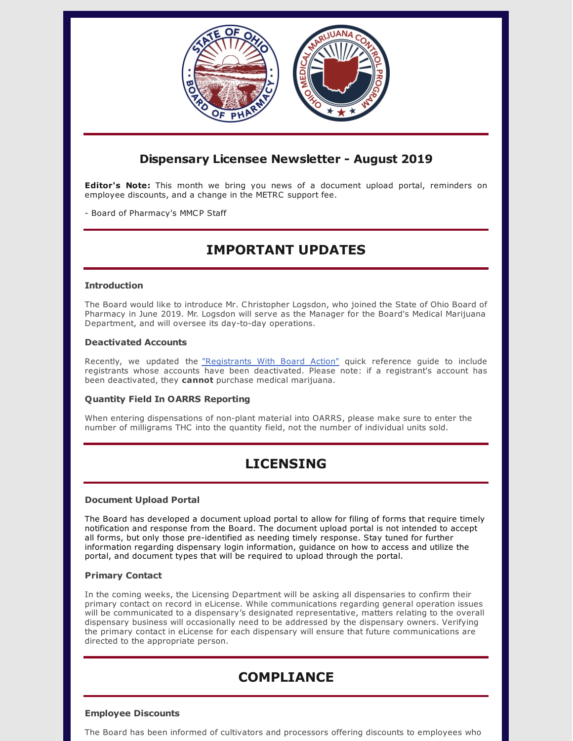

# **Dispensary Licensee Newsletter - August 2019**

**Editor's Note:** This month we bring you news of a document upload portal, reminders on employee discounts, and a change in the METRC support fee.

- Board of Pharmacy's MMCP Staff

# **IMPORTANT UPDATES**

## **Introduction**

The Board would like to introduce Mr. Christopher Logsdon, who joined the State of Ohio Board of Pharmacy in June 2019. Mr. Logsdon will serve as the Manager for the Board's Medical Marijuana Department, and will oversee its day-to-day operations.

## **Deactivated Accounts**

Recently, we updated the ["Registrants](https://www.medicalmarijuana.ohio.gov/Documents/LicenseeResources/Dispensary Licensee Resources/DISPENSARY TECHNOLOGY & SYSTEMS/Quick Reference Guide - Registrants With Board Action.pdf) With Board Action" quick reference guide to include registrants whose accounts have been deactivated. Please note: if a registrant's account has been deactivated, they **cannot** purchase medical marijuana.

# **Quantity Field In OARRS Reporting**

When entering dispensations of non-plant material into OARRS, please make sure to enter the number of milligrams THC into the quantity field, not the number of individual units sold.

# **LICENSING**

## **Document Upload Portal**

The Board has developed a document upload portal to allow for filing of forms that require timely notification and response from the Board. The document upload portal is not intended to accept all forms, but only those pre-identified as needing timely response. Stay tuned for further information regarding dispensary login information, guidance on how to access and utilize the portal, and document types that will be required to upload through the portal.

#### **Primary Contact**

In the coming weeks, the Licensing Department will be asking all dispensaries to confirm their primary contact on record in eLicense. While communications regarding general operation issues will be communicated to a dispensary's designated representative, matters relating to the overall dispensary business will occasionally need to be addressed by the dispensary owners. Verifying the primary contact in eLicense for each dispensary will ensure that future communications are directed to the appropriate person.

# **COMPLIANCE**

#### **Employee Discounts**

The Board has been informed of cultivators and processors offering discounts to employees who